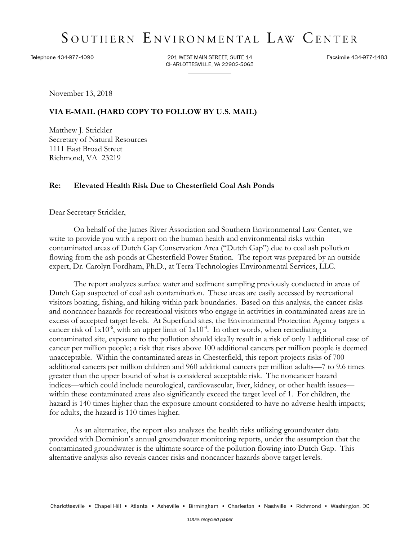## SOUTHERN ENVIRONMENTAL LAW CENTER

Telephone 434-977-4090

201 WEST MAIN STREET, SUITE 14 CHARLOTTESVILLE, VA 22902-5065 Facsimile 434-977-1483

November 13, 2018

## **VIA E-MAIL (HARD COPY TO FOLLOW BY U.S. MAIL)**

Matthew J. Strickler Secretary of Natural Resources 1111 East Broad Street Richmond, VA 23219

## **Re: Elevated Health Risk Due to Chesterfield Coal Ash Ponds**

Dear Secretary Strickler,

On behalf of the James River Association and Southern Environmental Law Center, we write to provide you with a report on the human health and environmental risks within contaminated areas of Dutch Gap Conservation Area ("Dutch Gap") due to coal ash pollution flowing from the ash ponds at Chesterfield Power Station. The report was prepared by an outside expert, Dr. Carolyn Fordham, Ph.D., at Terra Technologies Environmental Services, LLC.

The report analyzes surface water and sediment sampling previously conducted in areas of Dutch Gap suspected of coal ash contamination. These areas are easily accessed by recreational visitors boating, fishing, and hiking within park boundaries. Based on this analysis, the cancer risks and noncancer hazards for recreational visitors who engage in activities in contaminated areas are in excess of accepted target levels. At Superfund sites, the Environmental Protection Agency targets a cancer risk of  $1x10^{-6}$ , with an upper limit of  $1x10^{-4}$ . In other words, when remediating a contaminated site, exposure to the pollution should ideally result in a risk of only 1 additional case of cancer per million people; a risk that rises above 100 additional cancers per million people is deemed unacceptable. Within the contaminated areas in Chesterfield, this report projects risks of 700 additional cancers per million children and 960 additional cancers per million adults—7 to 9.6 times greater than the upper bound of what is considered acceptable risk. The noncancer hazard indices—which could include neurological, cardiovascular, liver, kidney, or other health issues within these contaminated areas also significantly exceed the target level of 1. For children, the hazard is 140 times higher than the exposure amount considered to have no adverse health impacts; for adults, the hazard is 110 times higher.

As an alternative, the report also analyzes the health risks utilizing groundwater data provided with Dominion's annual groundwater monitoring reports, under the assumption that the contaminated groundwater is the ultimate source of the pollution flowing into Dutch Gap. This alternative analysis also reveals cancer risks and noncancer hazards above target levels.